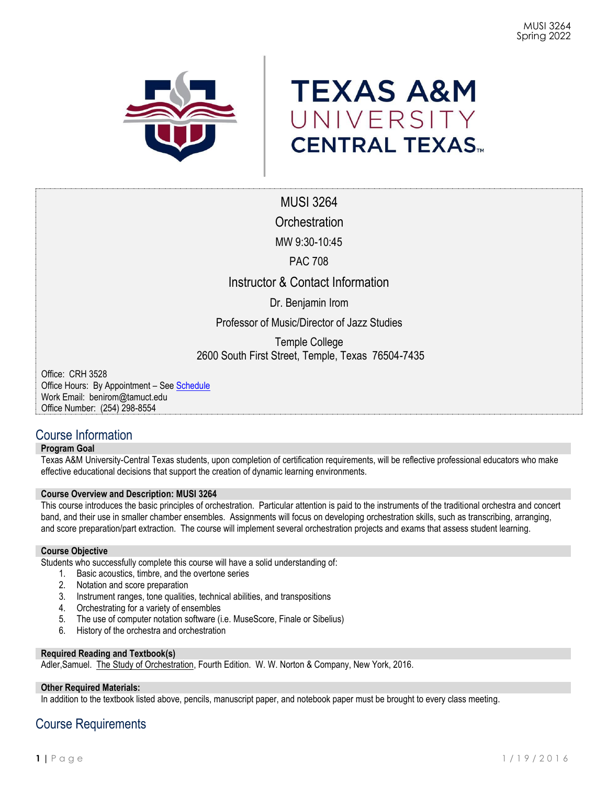

# **TEXAS A&M** UNIVERSITY **CENTRAL TEXAS**

MUSI 3264 **Orchestration** 

MW 9:30-10:45

PAC 708

Instructor & Contact Information

Dr. Benjamin Irom

Professor of Music/Director of Jazz Studies

Temple College 2600 South First Street, Temple, Texas 76504-7435

Office: CRH 3528 Office Hours: By Appointment - See [Schedule](https://docs.google.com/spreadsheets/d/15SpsrnSh6HBwgwZ2W-s0odArK7uVCMJlc5JdLPQLLDg/edit?usp=sharing) Work Email: benirom@tamuct.edu Office Number: (254) 298-8554

# Course Information

### **Program Goal**

Texas A&M University-Central Texas students, upon completion of certification requirements, will be reflective professional educators who make effective educational decisions that support the creation of dynamic learning environments.

### **Course Overview and Description: MUSI 3264**

This course introduces the basic principles of orchestration. Particular attention is paid to the instruments of the traditional orchestra and concert band, and their use in smaller chamber ensembles. Assignments will focus on developing orchestration skills, such as transcribing, arranging, and score preparation/part extraction. The course will implement several orchestration projects and exams that assess student learning.

### **Course Objective**

Students who successfully complete this course will have a solid understanding of:

- 1. Basic acoustics, timbre, and the overtone series
- 2. Notation and score preparation
- 3. Instrument ranges, tone qualities, technical abilities, and transpositions
- 4. Orchestrating for a variety of ensembles
- 5. The use of computer notation software (i.e. MuseScore, Finale or Sibelius)
- 6. History of the orchestra and orchestration

### **Required Reading and Textbook(s)**

Adler,Samuel. The Study of Orchestration, Fourth Edition. W. W. Norton & Company, New York, 2016.

### **Other Required Materials:**

In addition to the textbook listed above, pencils, manuscript paper, and notebook paper must be brought to every class meeting.

# Course Requirements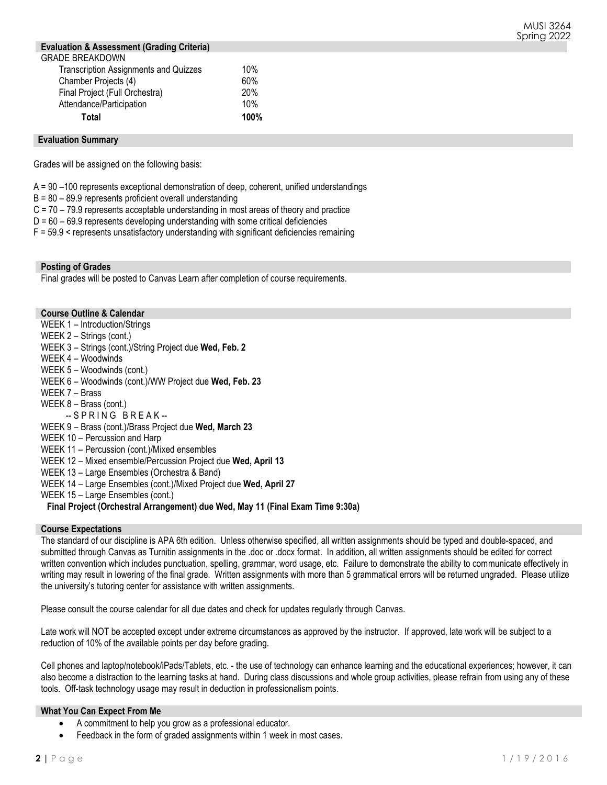### **Evaluation & Assessment (Grading Criteria)**

| Total                                        | 100% |
|----------------------------------------------|------|
| Attendance/Participation                     | 10%  |
| Final Project (Full Orchestra)               | 20%  |
| Chamber Projects (4)                         | 60%  |
| <b>Transcription Assignments and Quizzes</b> | 10%  |
| <b>GRADE BREAKDOWN</b>                       |      |

### **Evaluation Summary**

Grades will be assigned on the following basis:

A = 90 –100 represents exceptional demonstration of deep, coherent, unified understandings

B = 80 – 89.9 represents proficient overall understanding

C = 70 – 79.9 represents acceptable understanding in most areas of theory and practice

 $D = 60 - 69.9$  represents developing understanding with some critical deficiencies

 $F = 59.9 <$  represents unsatisfactory understanding with significant deficiencies remaining

### **Posting of Grades**

Final grades will be posted to Canvas Learn after completion of course requirements.

### **Course Outline & Calendar**

 **Final Project (Orchestral Arrangement) due Wed, May 11 (Final Exam Time 9:30a)** WEEK 1 – Introduction/Strings WEEK 2 – Strings (cont.) WEEK 3 – Strings (cont.)/String Project due **Wed, Feb. 2** WEEK 4 – Woodwinds WEEK 5 – Woodwinds (cont.) WEEK 6 – Woodwinds (cont.)/WW Project due **Wed, Feb. 23** WEEK 7 – Brass WEEK 8 – Brass (cont.) -SPRING BREAK-WEEK 9 – Brass (cont.)/Brass Project due **Wed, March 23** WEEK 10 – Percussion and Harp WEEK 11 – Percussion (cont.)/Mixed ensembles WEEK 12 – Mixed ensemble/Percussion Project due **Wed, April 13** WEEK 13 – Large Ensembles (Orchestra & Band) WEEK 14 – Large Ensembles (cont.)/Mixed Project due **Wed, April 27** WEEK 15 – Large Ensembles (cont.)

### **Course Expectations**

The standard of our discipline is APA 6th edition. Unless otherwise specified, all written assignments should be typed and double-spaced, and submitted through Canvas as Turnitin assignments in the .doc or .docx format. In addition, all written assignments should be edited for correct written convention which includes punctuation, spelling, grammar, word usage, etc. Failure to demonstrate the ability to communicate effectively in writing may result in lowering of the final grade. Written assignments with more than 5 grammatical errors will be returned ungraded. Please utilize the university's tutoring center for assistance with written assignments.

Please consult the course calendar for all due dates and check for updates regularly through Canvas.

Late work will NOT be accepted except under extreme circumstances as approved by the instructor. If approved, late work will be subject to a reduction of 10% of the available points per day before grading.

Cell phones and laptop/notebook/iPads/Tablets, etc. - the use of technology can enhance learning and the educational experiences; however, it can also become a distraction to the learning tasks at hand. During class discussions and whole group activities, please refrain from using any of these tools. Off-task technology usage may result in deduction in professionalism points.

### **What You Can Expect From Me**

- A commitment to help you grow as a professional educator.
- Feedback in the form of graded assignments within 1 week in most cases.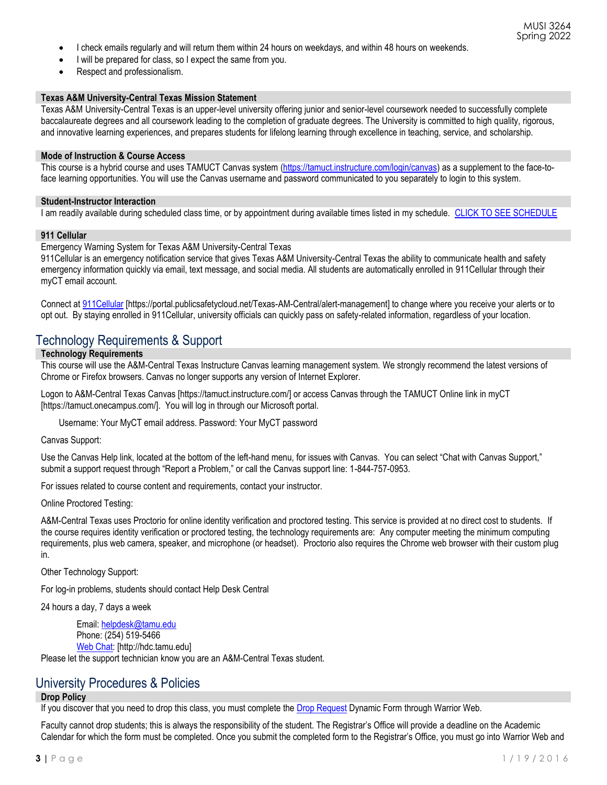- I check emails regularly and will return them within 24 hours on weekdays, and within 48 hours on weekends.
- I will be prepared for class, so I expect the same from you.
- Respect and professionalism.

### **Texas A&M University-Central Texas Mission Statement**

Texas A&M University-Central Texas is an upper-level university offering junior and senior-level coursework needed to successfully complete baccalaureate degrees and all coursework leading to the completion of graduate degrees. The University is committed to high quality, rigorous, and innovative learning experiences, and prepares students for lifelong learning through excellence in teaching, service, and scholarship.

### **Mode of Instruction & Course Access**

This course is a hybrid course and uses TAMUCT Canvas system [\(https://tamuct.instructure.com/login/canvas\)](https://tamuct.instructure.com/login/canvas) as a supplement to the face-toface learning opportunities. You will use the Canvas username and password communicated to you separately to login to this system.

### **Student-Instructor Interaction**

I am readily available during scheduled class time, or by appointment during available times listed in my schedule. CLICK TO SEE SCHEDULE

#### **911 Cellular**

Emergency Warning System for Texas A&M University-Central Texas

911Cellular is an emergency notification service that gives Texas A&M University-Central Texas the ability to communicate health and safety emergency information quickly via email, text message, and social media. All students are automatically enrolled in 911Cellular through their myCT email account.

Connect at [911Cellular](https://portal.publicsafetycloud.net/Texas-AM-Central/alert-management) [https://portal.publicsafetycloud.net/Texas-AM-Central/alert-management] to change where you receive your alerts or to opt out. By staying enrolled in 911Cellular, university officials can quickly pass on safety-related information, regardless of your location.

### Technology Requirements & Support

### **Technology Requirements**

This course will use the A&M-Central Texas Instructure Canvas learning management system. We strongly recommend the latest versions of Chrome or Firefox browsers. Canvas no longer supports any version of Internet Explorer.

Logon to A&M-Central Texas Canvas [https://tamuct.instructure.com/] or access Canvas through the TAMUCT Online link in myCT [https://tamuct.onecampus.com/]. You will log in through our Microsoft portal.

Username: Your MyCT email address. Password: Your MyCT password

Canvas Support:

Use the Canvas Help link, located at the bottom of the left-hand menu, for issues with Canvas. You can select "Chat with Canvas Support," submit a support request through "Report a Problem," or call the Canvas support line: 1-844-757-0953.

For issues related to course content and requirements, contact your instructor.

Online Proctored Testing:

A&M-Central Texas uses Proctorio for online identity verification and proctored testing. This service is provided at no direct cost to students. If the course requires identity verification or proctored testing, the technology requirements are: Any computer meeting the minimum computing requirements, plus web camera, speaker, and microphone (or headset). Proctorio also requires the Chrome web browser with their custom plug in.

Other Technology Support:

For log-in problems, students should contact Help Desk Central

24 hours a day, 7 days a week

Email[: helpdesk@tamu.edu](mailto:helpdesk@tamu.edu) Phone: (254) 519-5466 [Web Chat:](http://hdc.tamu.edu/) [http://hdc.tamu.edu] Please let the support technician know you are an A&M-Central Texas student.

# University Procedures & Policies

### **Drop Policy**

If you discover that you need to drop this class, you must complete th[e Drop Request](https://dynamicforms.ngwebsolutions.com/casAuthentication.ashx?InstID=eaed95b9-f2be-45f3-a37d-46928168bc10&targetUrl=https%3A%2F%2Fdynamicforms.ngwebsolutions.com%2FSubmit%2FForm%2FStart%2F53b8369e-0502-4f36-be43-f02a4202f612) Dynamic Form through Warrior Web.

Faculty cannot drop students; this is always the responsibility of the student. The Registrar's Office will provide a deadline on the Academic Calendar for which the form must be completed. Once you submit the completed form to the Registrar's Office, you must go into Warrior Web and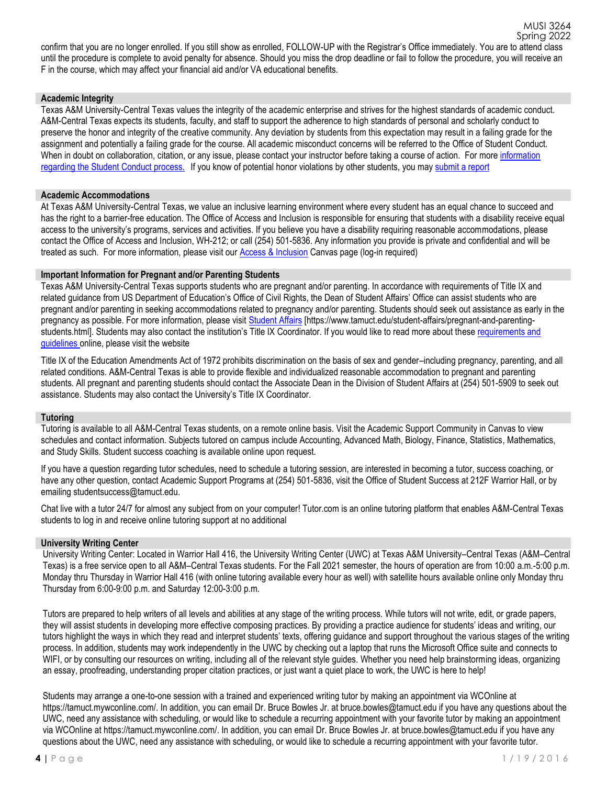Spring 2022 confirm that you are no longer enrolled. If you still show as enrolled, FOLLOW-UP with the Registrar's Office immediately. You are to attend class until the procedure is complete to avoid penalty for absence. Should you miss the drop deadline or fail to follow the procedure, you will receive an F in the course, which may affect your financial aid and/or VA educational benefits.

### **Academic Integrity**

Texas A&M University-Central Texas values the integrity of the academic enterprise and strives for the highest standards of academic conduct. A&M-Central Texas expects its students, faculty, and staff to support the adherence to high standards of personal and scholarly conduct to preserve the honor and integrity of the creative community. Any deviation by students from this expectation may result in a failing grade for the assignment and potentially a failing grade for the course. All academic misconduct concerns will be referred to the Office of Student Conduct. When in doubt on collaboration, citation, or any issue, please contact your instructor before taking a course of action. For more [information](https://nam04.safelinks.protection.outlook.com/?url=https%3A%2F%2Fwww.tamuct.edu%2Fstudent-affairs%2Fstudent-conduct.html&data=04%7C01%7Clisa.bunkowski%40tamuct.edu%7Ccfb6e486f24745f53e1a08d910055cb2%7C9eed4e3000f744849ff193ad8005acec%7C0%7C0%7C637558437485252160%7CUnknown%7CTWFpbGZsb3d8eyJWIjoiMC4wLjAwMDAiLCJQIjoiV2luMzIiLCJBTiI6Ik1haWwiLCJXVCI6Mn0%3D%7C1000&sdata=yjftDEVHvLX%2FhM%2FcFU0B99krV1RgEWR%2BJ%2BhvtoR6TYk%3D&reserved=0) [regarding](https://nam04.safelinks.protection.outlook.com/?url=https%3A%2F%2Fwww.tamuct.edu%2Fstudent-affairs%2Fstudent-conduct.html&data=04%7C01%7Clisa.bunkowski%40tamuct.edu%7Ccfb6e486f24745f53e1a08d910055cb2%7C9eed4e3000f744849ff193ad8005acec%7C0%7C0%7C637558437485252160%7CUnknown%7CTWFpbGZsb3d8eyJWIjoiMC4wLjAwMDAiLCJQIjoiV2luMzIiLCJBTiI6Ik1haWwiLCJXVCI6Mn0%3D%7C1000&sdata=yjftDEVHvLX%2FhM%2FcFU0B99krV1RgEWR%2BJ%2BhvtoR6TYk%3D&reserved=0) the Student Conduct process. If you know of potential honor violations by other students, you may [submit](https://nam04.safelinks.protection.outlook.com/?url=https%3A%2F%2Fcm.maxient.com%2Freportingform.php%3FTAMUCentralTexas%26layout_id%3D0&data=04%7C01%7Clisa.bunkowski%40tamuct.edu%7Ccfb6e486f24745f53e1a08d910055cb2%7C9eed4e3000f744849ff193ad8005acec%7C0%7C0%7C637558437485262157%7CUnknown%7CTWFpbGZsb3d8eyJWIjoiMC4wLjAwMDAiLCJQIjoiV2luMzIiLCJBTiI6Ik1haWwiLCJXVCI6Mn0%3D%7C1000&sdata=CXGkOa6uPDPX1IMZ87z3aZDq2n91xfHKu4MMS43Ejjk%3D&reserved=0) a report

### **Academic Accommodations**

At Texas A&M University-Central Texas, we value an inclusive learning environment where every student has an equal chance to succeed and has the right to a barrier-free education. The Office of Access and Inclusion is responsible for ensuring that students with a disability receive equal access to the university's programs, services and activities. If you believe you have a disability requiring reasonable accommodations, please contact the Office of Access and Inclusion, WH-212; or call (254) 501-5836. Any information you provide is private and confidential and will be treated as such. For more information, please visit our [Access & Inclusion](https://tamuct.instructure.com/courses/717) Canvas page (log-in required)

### **Important Information for Pregnant and/or Parenting Students**

Texas A&M University-Central Texas supports students who are pregnant and/or parenting. In accordance with requirements of Title IX and related guidance from US Department of Education's Office of Civil Rights, the Dean of Student Affairs' Office can assist students who are pregnant and/or parenting in seeking accommodations related to pregnancy and/or parenting. Students should seek out assistance as early in the pregnancy as possible. For more information, please visit [Student Affairs](https://www.tamuct.edu/student-affairs/pregnant-and-parenting-students.html) [https://www.tamuct.edu/student-affairs/pregnant-and-parentingstudents.html]. Students may also contact the institution's Title IX Coordinator. If you would like to read more about these requirements and [guidelines](http://www2.ed.gov/about/offices/list/ocr/docs/pregnancy.pdf) online, please visit the website

Title IX of the Education Amendments Act of 1972 prohibits discrimination on the basis of sex and gender–including pregnancy, parenting, and all related conditions. A&M-Central Texas is able to provide flexible and individualized reasonable accommodation to pregnant and parenting students. All pregnant and parenting students should contact the Associate Dean in the Division of Student Affairs at (254) 501-5909 to seek out assistance. Students may also contact the University's Title IX Coordinator.

### **Tutoring**

Tutoring is available to all A&M-Central Texas students, on a remote online basis. Visit the Academic Support Community in Canvas to view schedules and contact information. Subjects tutored on campus include Accounting, Advanced Math, Biology, Finance, Statistics, Mathematics, and Study Skills. Student success coaching is available online upon request.

If you have a question regarding tutor schedules, need to schedule a tutoring session, are interested in becoming a tutor, success coaching, or have any other question, contact Academic Support Programs at (254) 501-5836, visit the Office of Student Success at 212F Warrior Hall, or by emailing studentsuccess@tamuct.edu.

Chat live with a tutor 24/7 for almost any subject from on your computer! Tutor.com is an online tutoring platform that enables A&M-Central Texas students to log in and receive online tutoring support at no additional

### **University Writing Center**

University Writing Center: Located in Warrior Hall 416, the University Writing Center (UWC) at Texas A&M University–Central Texas (A&M–Central Texas) is a free service open to all A&M–Central Texas students. For the Fall 2021 semester, the hours of operation are from 10:00 a.m.-5:00 p.m. Monday thru Thursday in Warrior Hall 416 (with online tutoring available every hour as well) with satellite hours available online only Monday thru Thursday from 6:00-9:00 p.m. and Saturday 12:00-3:00 p.m.

Tutors are prepared to help writers of all levels and abilities at any stage of the writing process. While tutors will not write, edit, or grade papers, they will assist students in developing more effective composing practices. By providing a practice audience for students' ideas and writing, our tutors highlight the ways in which they read and interpret students' texts, offering guidance and support throughout the various stages of the writing process. In addition, students may work independently in the UWC by checking out a laptop that runs the Microsoft Office suite and connects to WIFI, or by consulting our resources on writing, including all of the relevant style guides. Whether you need help brainstorming ideas, organizing an essay, proofreading, understanding proper citation practices, or just want a quiet place to work, the UWC is here to help!

Students may arrange a one-to-one session with a trained and experienced writing tutor by making an appointment via WCOnline at https://tamuct.mywconline.com/. In addition, you can email Dr. Bruce Bowles Jr. at bruce.bowles@tamuct.edu if you have any questions about the UWC, need any assistance with scheduling, or would like to schedule a recurring appointment with your favorite tutor by making an appointment via WCOnline at https://tamuct.mywconline.com/. In addition, you can email Dr. Bruce Bowles Jr. at bruce.bowles@tamuct.edu if you have any questions about the UWC, need any assistance with scheduling, or would like to schedule a recurring appointment with your favorite tutor.

MUSI 3264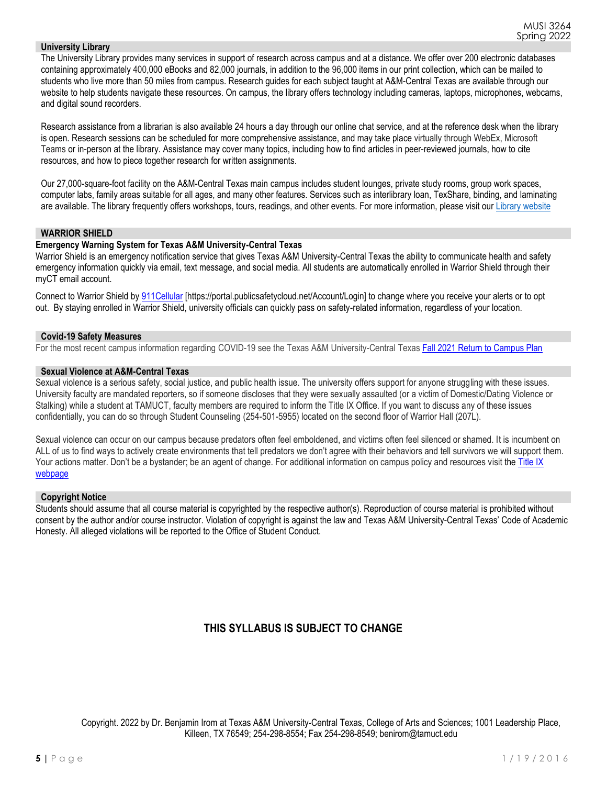### **University Library**

The University Library provides many services in support of research across campus and at a distance. We offer over 200 electronic databases containing approximately 400,000 eBooks and 82,000 journals, in addition to the 96,000 items in our print collection, which can be mailed to students who live more than 50 miles from campus. Research guides for each subject taught at A&M-Central Texas are available through our website to help students navigate these resources. On campus, the library offers technology including cameras, laptops, microphones, webcams, and digital sound recorders.

Research assistance from a librarian is also available 24 hours a day through our online chat service, and at the reference desk when the library is open. Research sessions can be scheduled for more comprehensive assistance, and may take place virtually through WebEx, Microsoft Teams or in-person at the library. Assistance may cover many topics, including how to find articles in peer-reviewed journals, how to cite resources, and how to piece together research for written assignments.

Our 27,000-square-foot facility on the A&M-Central Texas main campus includes student lounges, private study rooms, group work spaces, computer labs, family areas suitable for all ages, and many other features. Services such as interlibrary loan, TexShare, binding, and laminating are available. The library frequently offers workshops, tours, readings, and other events. For more information, please visit our Library [website](https://nam04.safelinks.protection.outlook.com/?url=https%3A%2F%2Ftamuct.libguides.com%2Findex&data=04%7C01%7Clisa.bunkowski%40tamuct.edu%7C7d8489e8839a4915335f08d916f067f2%7C9eed4e3000f744849ff193ad8005acec%7C0%7C0%7C637566044056484222%7CUnknown%7CTWFpbGZsb3d8eyJWIjoiMC4wLjAwMDAiLCJQIjoiV2luMzIiLCJBTiI6Ik1haWwiLCJXVCI6Mn0%3D%7C1000&sdata=2R755V6rcIyedGrd4Os5rkgn1PvhHKU3kUV1vBKiHFo%3D&reserved=0)

### **WARRIOR SHIELD**

### **Emergency Warning System for Texas A&M University-Central Texas**

Warrior Shield is an emergency notification service that gives Texas A&M University-Central Texas the ability to communicate health and safety emergency information quickly via email, text message, and social media. All students are automatically enrolled in Warrior Shield through their myCT email account.

Connect to Warrior Shield by [911Cellular](https://portal.publicsafetycloud.net/Texas-AM-Central/alert-management) [https://portal.publicsafetycloud.net/Account/Login] to change where you receive your alerts or to opt out. By staying enrolled in Warrior Shield, university officials can quickly pass on safety-related information, regardless of your location.

### **Covid-19 Safety Measures**

For the most recent campus information regarding COVID-19 see the Texas A&M University-Central Texas [Fall 2021 Return to Campus Plan](https://nam04.safelinks.protection.outlook.com/?url=https%3A%2F%2Fwww.tamuct.edu%2Fcovid19%2F&data=04%7C01%7Cbenirom%40tamuct.edu%7C190f6d595ee243f993e508d9627f5c64%7C9eed4e3000f744849ff193ad8005acec%7C0%7C0%7C637649121411373291%7CUnknown%7CTWFpbGZsb3d8eyJWIjoiMC4wLjAwMDAiLCJQIjoiV2luMzIiLCJBTiI6Ik1haWwiLCJXVCI6Mn0%3D%7C1000&sdata=UFjem%2FDdpxYSf4jxWLZ32hrILD%2FPJdjFjRNRWXSdX0s%3D&reserved=0)

### **Sexual Violence at A&M-Central Texas**

Sexual violence is a serious safety, social justice, and public health issue. The university offers support for anyone struggling with these issues. University faculty are mandated reporters, so if someone discloses that they were sexually assaulted (or a victim of Domestic/Dating Violence or Stalking) while a student at TAMUCT, faculty members are required to inform the Title IX Office. If you want to discuss any of these issues confidentially, you can do so through Student Counseling (254-501-5955) located on the second floor of Warrior Hall (207L).

Sexual violence can occur on our campus because predators often feel emboldened, and victims often feel silenced or shamed. It is incumbent on ALL of us to find ways to actively create environments that tell predators we don't agree with their behaviors and tell survivors we will support them. Your actions matter. Don't be a bystander; be an agent of change. For additional information on campus policy and resources visit the Title IX [webpage](https://www.tamuct.edu/departments/compliance/titleix.php)

### **Copyright Notice**

Students should assume that all course material is copyrighted by the respective author(s). Reproduction of course material is prohibited without consent by the author and/or course instructor. Violation of copyright is against the law and Texas A&M University-Central Texas' Code of Academic Honesty. All alleged violations will be reported to the Office of Student Conduct.

### **THIS SYLLABUS IS SUBJECT TO CHANGE**

Copyright. 2022 by Dr. Benjamin Irom at Texas A&M University-Central Texas, College of Arts and Sciences; 1001 Leadership Place, Killeen, TX 76549; 254-298-8554; Fax 254-298-8549; benirom@tamuct.edu